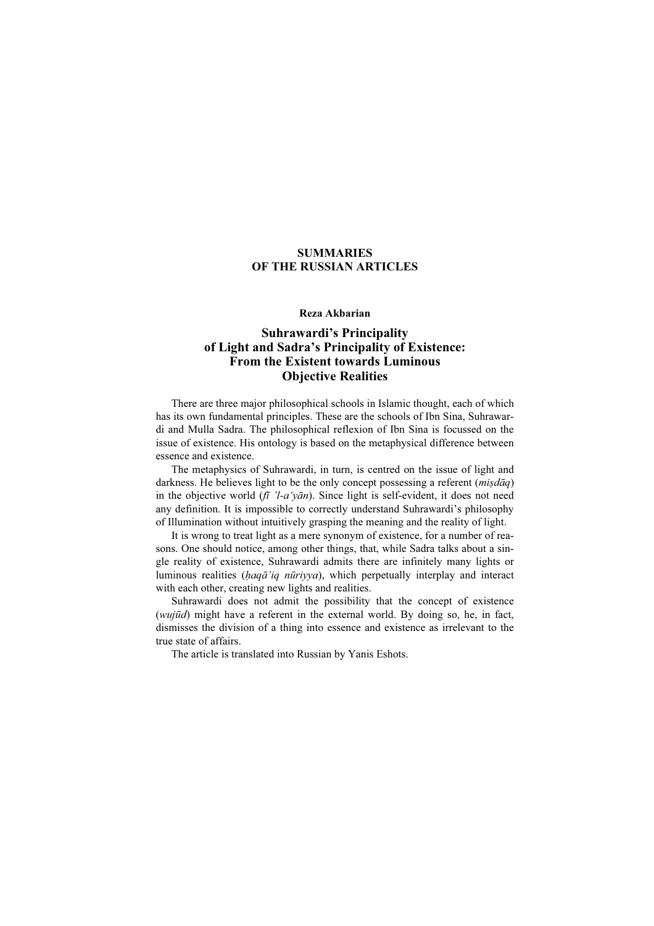### SUMMARIES OF THE RUSSIAN ARTICLES

### Reza Akbarian

# Suhrawardi's Principality of Light and Sadra's Principality of Existence: From the Existent towards Luminous Objective Realities

There are three major philosophical schools in Islamic thought, each of which has its own fundamental principles. These are the schools of Ibn Sina, Suhrawardi and Mulla Sadra. The philosophical reflexion of Ibn Sina is focussed on the issue of existence. His ontology is based on the metaphysical difference between essence and existence.

The metaphysics of Suhrawardi, in turn, is centred on the issue of light and darkness. He believes light to be the only concept possessing a referent  $(mis d\bar{a}q)$ in the objective world  $(f\bar{i}$  'l-a'yan). Since light is self-evident, it does not need any definition. It is impossible to correctly understand Suhrawardi's philosophy of Illumination without intuitively grasping the meaning and the reality of light.

It is wrong to treat light as a mere synonym of existence, for a number of reasons. One should notice, among other things, that, while Sadra talks about a single reality of existence, Suhrawardi admits there are infinitely many lights or luminous realities (ḥaqā'iq nūriyya), which perpetually interplay and interact with each other, creating new lights and realities.

Suhrawardi does not admit the possibility that the concept of existence (wujūd) might have a referent in the external world. By doing so, he, in fact, dismisses the division of a thing into essence and existence as irrelevant to the true state of affairs.

The article is translated into Russian by Yanis Eshots.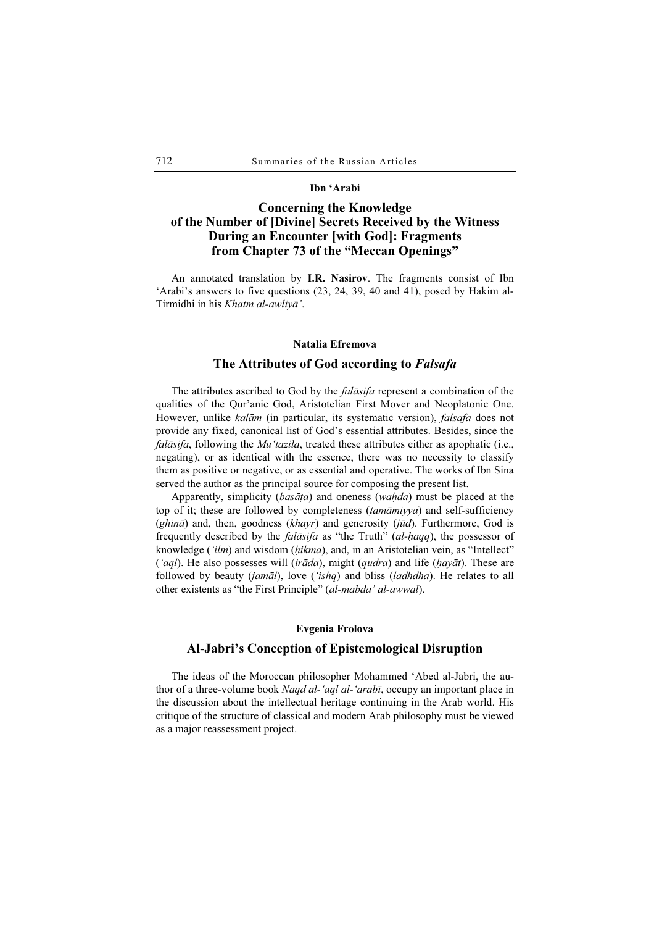### Ibn 'Arabi

# Concerning the Knowledge of the Number of [Divine] Secrets Received by the Witness During an Encounter [with God]: Fragments from Chapter 73 of the "Meccan Openings"

An annotated translation by I.R. Nasirov. The fragments consist of Ibn 'Arabi's answers to five questions (23, 24, 39, 40 and 41), posed by Hakim al-Tirmidhi in his Khatm al-awliyā'.

#### Natalia Efremova

### The Attributes of God according to Falsafa

The attributes ascribed to God by the *falāsifa* represent a combination of the qualities of the Qur'anic God, Aristotelian First Mover and Neoplatonic One. However, unlike kalām (in particular, its systematic version), falsafa does not provide any fixed, canonical list of God's essential attributes. Besides, since the falāsifa, following the Mu'tazila, treated these attributes either as apophatic (i.e., negating), or as identical with the essence, there was no necessity to classify them as positive or negative, or as essential and operative. The works of Ibn Sina served the author as the principal source for composing the present list.

Apparently, simplicity (basāta) and oneness (waḥda) must be placed at the top of it; these are followed by completeness (tamāmiyya) and self-sufficiency (ghinā) and, then, goodness (khayr) and generosity (jūd). Furthermore, God is frequently described by the *falāsifa* as "the Truth" (al-haqq), the possessor of knowledge ('ilm) and wisdom (hikma), and, in an Aristotelian vein, as "Intellect" ('aql). He also possesses will (irāda), might (qudra) and life ( $hay\bar{a}t$ ). These are followed by beauty (jamāl), love ('ishq) and bliss (ladhdha). He relates to all other existents as "the First Principle" (al-mabda' al-awwal).

#### Evgenia Frolova

### Al-Jabri's Conception of Epistemological Disruption

The ideas of the Moroccan philosopher Mohammed 'Abed al-Jabri, the author of a three-volume book *Naqd al-'aql al-'arabī*, occupy an important place in the discussion about the intellectual heritage continuing in the Arab world. His critique of the structure of classical and modern Arab philosophy must be viewed as a major reassessment project.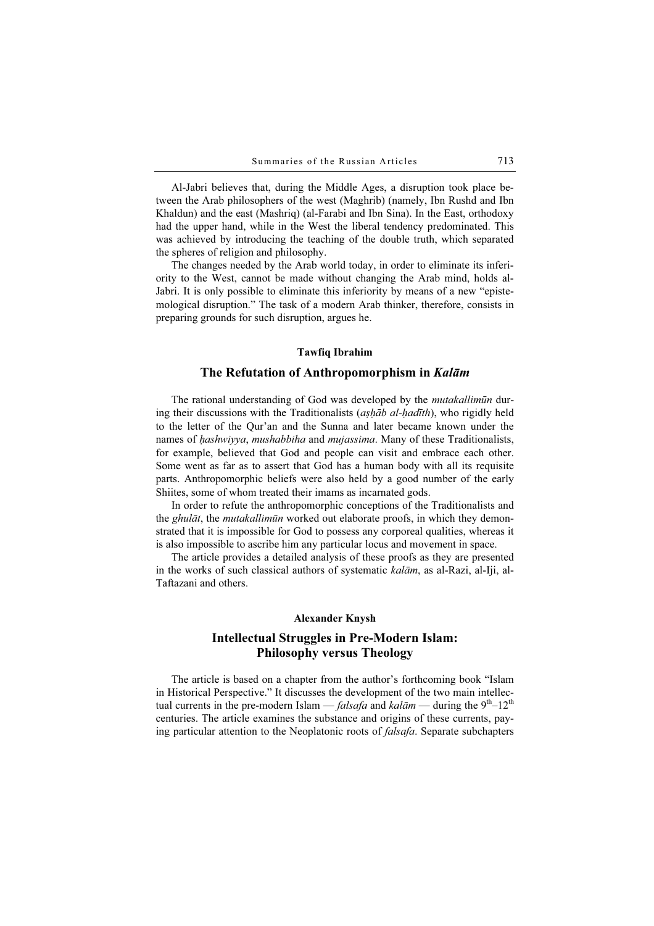Al-Jabri believes that, during the Middle Ages, a disruption took place between the Arab philosophers of the west (Maghrib) (namely, Ibn Rushd and Ibn Khaldun) and the east (Mashriq) (al-Farabi and Ibn Sina). In the East, orthodoxy had the upper hand, while in the West the liberal tendency predominated. This was achieved by introducing the teaching of the double truth, which separated the spheres of religion and philosophy.

The changes needed by the Arab world today, in order to eliminate its inferiority to the West, cannot be made without changing the Arab mind, holds al-Jabri. It is only possible to eliminate this inferiority by means of a new "epistemological disruption." The task of a modern Arab thinker, therefore, consists in preparing grounds for such disruption, argues he.

### Tawfiq Ibrahim

### The Refutation of Anthropomorphism in Kalām

The rational understanding of God was developed by the *mutakallimun* during their discussions with the Traditionalists (aṣḥāb al-ḥadīth), who rigidly held to the letter of the Qur'an and the Sunna and later became known under the names of hashwiyya, mushabbiha and mujassima. Many of these Traditionalists, for example, believed that God and people can visit and embrace each other. Some went as far as to assert that God has a human body with all its requisite parts. Anthropomorphic beliefs were also held by a good number of the early Shiites, some of whom treated their imams as incarnated gods.

In order to refute the anthropomorphic conceptions of the Traditionalists and the ghulāt, the mutakallimūn worked out elaborate proofs, in which they demonstrated that it is impossible for God to possess any corporeal qualities, whereas it is also impossible to ascribe him any particular locus and movement in space.

The article provides a detailed analysis of these proofs as they are presented in the works of such classical authors of systematic kalām, as al-Razi, al-Iji, al-Taftazani and others.

### Alexander Knysh

## Intellectual Struggles in Pre-Modern Islam: Philosophy versus Theology

The article is based on a chapter from the author's forthcoming book "Islam in Historical Perspective." It discusses the development of the two main intellectual currents in the pre-modern Islam — *falsafa* and kalām — during the  $9<sup>th</sup>-12<sup>th</sup>$ centuries. The article examines the substance and origins of these currents, paying particular attention to the Neoplatonic roots of falsafa. Separate subchapters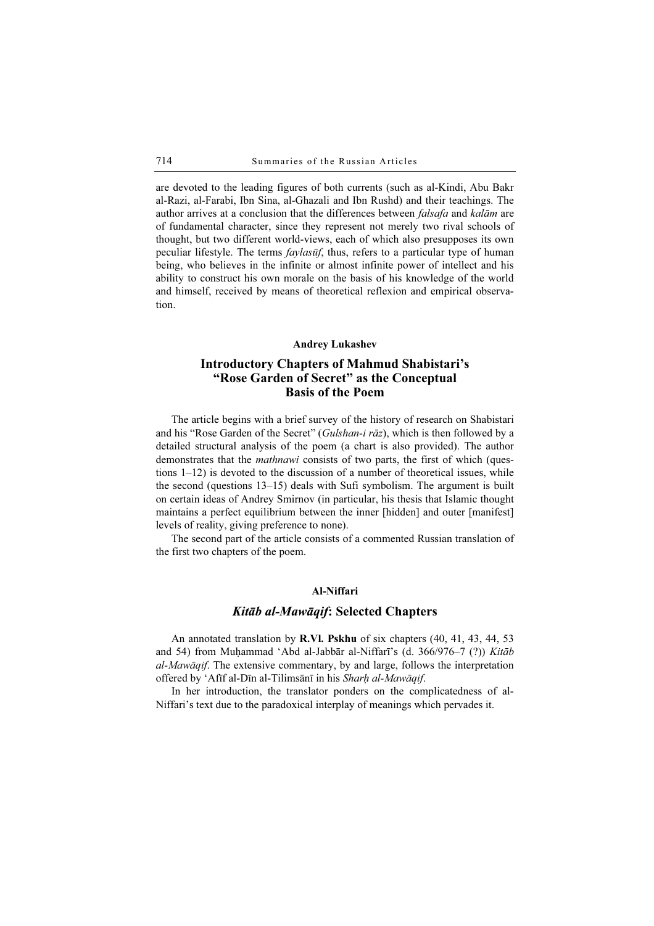are devoted to the leading figures of both currents (such as al-Kindi, Abu Bakr al-Razi, al-Farabi, Ibn Sina, al-Ghazali and Ibn Rushd) and their teachings. The author arrives at a conclusion that the differences between falsafa and kalām are of fundamental character, since they represent not merely two rival schools of thought, but two different world-views, each of which also presupposes its own peculiar lifestyle. The terms *faylasūf*, thus, refers to a particular type of human being, who believes in the infinite or almost infinite power of intellect and his ability to construct his own morale on the basis of his knowledge of the world and himself, received by means of theoretical reflexion and empirical observation.

#### Andrey Lukashev

# Introductory Chapters of Mahmud Shabistari's "Rose Garden of Secret" as the Conceptual Basis of the Poem

The article begins with a brief survey of the history of research on Shabistari and his "Rose Garden of the Secret" (Gulshan-i rāz), which is then followed by a detailed structural analysis of the poem (a chart is also provided). The author demonstrates that the *mathnawi* consists of two parts, the first of which (questions 1–12) is devoted to the discussion of a number of theoretical issues, while the second (questions 13–15) deals with Sufi symbolism. The argument is built on certain ideas of Andrey Smirnov (in particular, his thesis that Islamic thought maintains a perfect equilibrium between the inner [hidden] and outer [manifest] levels of reality, giving preference to none).

The second part of the article consists of a commented Russian translation of the first two chapters of the poem.

### Al-Niffari

### Kitāb al-Mawāqif: Selected Chapters

An annotated translation by R.Vl. Pskhu of six chapters (40, 41, 43, 44, 53 and 54) from Muḥammad 'Abd al-Jabbār al-Niffarī's (d. 366/976–7 (?)) Kitāb al-Mawāqif. The extensive commentary, by and large, follows the interpretation offered by 'Afīf al-Dīn al-Tilimsānī in his Sharh al-Mawāqif.

In her introduction, the translator ponders on the complicatedness of al-Niffari's text due to the paradoxical interplay of meanings which pervades it.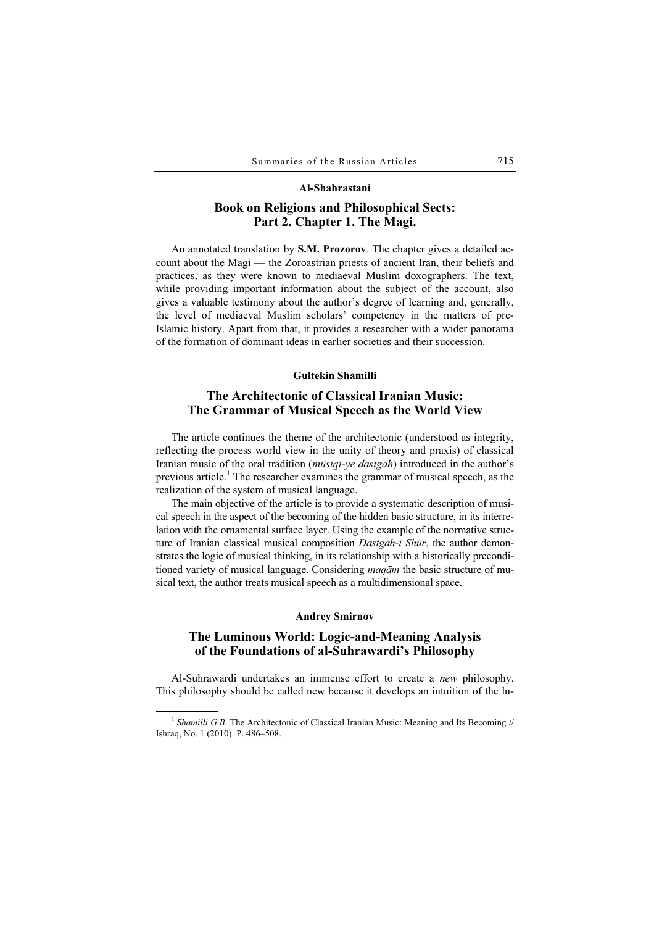#### Al-Shahrastani

### Book on Religions and Philosophical Sects: Part 2. Chapter 1. The Magi.

An annotated translation by **S.M. Prozorov**. The chapter gives a detailed account about the Magi — the Zoroastrian priests of ancient Iran, their beliefs and practices, as they were known to mediaeval Muslim doxographers. The text, while providing important information about the subject of the account, also gives a valuable testimony about the author's degree of learning and, generally, the level of mediaeval Muslim scholars' competency in the matters of pre-Islamic history. Apart from that, it provides a researcher with a wider panorama of the formation of dominant ideas in earlier societies and their succession.

### Gultekin Shamilli

### The Architectonic of Classical Iranian Music: The Grammar of Musical Speech as the World View

The article continues the theme of the architectonic (understood as integrity, reflecting the process world view in the unity of theory and praxis) of classical Iranian music of the oral tradition (*mūsiqī-ye dastgāh*) introduced in the author's previous article.<sup>1</sup> The researcher examines the grammar of musical speech, as the realization of the system of musical language.

The main objective of the article is to provide a systematic description of musical speech in the aspect of the becoming of the hidden basic structure, in its interrelation with the ornamental surface layer. Using the example of the normative structure of Iranian classical musical composition Dastgah-i Shūr, the author demonstrates the logic of musical thinking, in its relationship with a historically preconditioned variety of musical language. Considering maqām the basic structure of musical text, the author treats musical speech as a multidimensional space.

#### Andrey Smirnov

### The Luminous World: Logic-and-Meaning Analysis of the Foundations of al-Suhrawardi's Philosophy

Al-Suhrawardi undertakes an immense effort to create a new philosophy. This philosophy should be called new because it develops an intuition of the lu-

<sup>&</sup>lt;sup>1</sup> Shamilli G.B. The Architectonic of Classical Iranian Music: Meaning and Its Becoming  $\#$ Ishraq, No. 1 (2010). P. 486–508.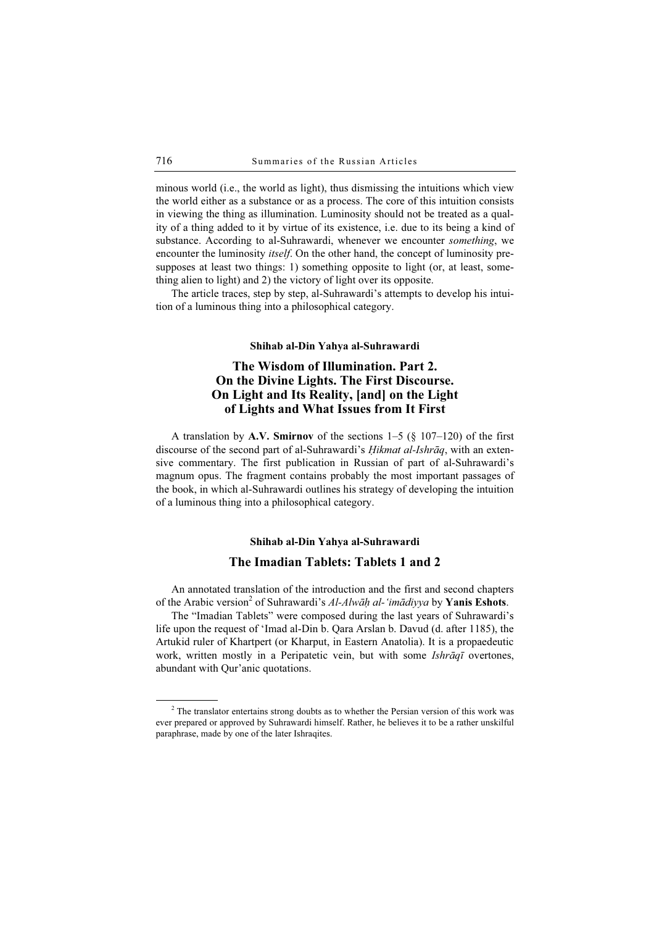minous world (i.e., the world as light), thus dismissing the intuitions which view the world either as a substance or as a process. The core of this intuition consists in viewing the thing as illumination. Luminosity should not be treated as a quality of a thing added to it by virtue of its existence, i.e. due to its being a kind of substance. According to al-Suhrawardi, whenever we encounter something, we encounter the luminosity *itself*. On the other hand, the concept of luminosity presupposes at least two things: 1) something opposite to light (or, at least, something alien to light) and 2) the victory of light over its opposite.

The article traces, step by step, al-Suhrawardi's attempts to develop his intuition of a luminous thing into a philosophical category.

#### Shihab al-Din Yahya al-Suhrawardi

# The Wisdom of Illumination. Part 2. On the Divine Lights. The First Discourse. On Light and Its Reality, [and] on the Light of Lights and What Issues from It First

A translation by A.V. Smirnov of the sections  $1-5$  (§ 107–120) of the first discourse of the second part of al-Suhrawardi's *Hikmat al-Ishrāq*, with an extensive commentary. The first publication in Russian of part of al-Suhrawardi's magnum opus. The fragment contains probably the most important passages of the book, in which al-Suhrawardi outlines his strategy of developing the intuition of a luminous thing into a philosophical category.

# Shihab al-Din Yahya al-Suhrawardi The Imadian Tablets: Tablets 1 and 2

An annotated translation of the introduction and the first and second chapters of the Arabic version<sup>2</sup> of Suhrawardi's Al-Alwāh al-'imādiyya by **Yanis Eshots**.

The "Imadian Tablets" were composed during the last years of Suhrawardi's life upon the request of 'Imad al-Din b. Qara Arslan b. Davud (d. after 1185), the Artukid ruler of Khartpert (or Kharput, in Eastern Anatolia). It is a propaedeutic work, written mostly in a Peripatetic vein, but with some *Ishrāqī* overtones, abundant with Qur'anic quotations.

 $\frac{1}{2}$  $2$  The translator entertains strong doubts as to whether the Persian version of this work was ever prepared or approved by Suhrawardi himself. Rather, he believes it to be a rather unskilful paraphrase, made by one of the later Ishraqites.